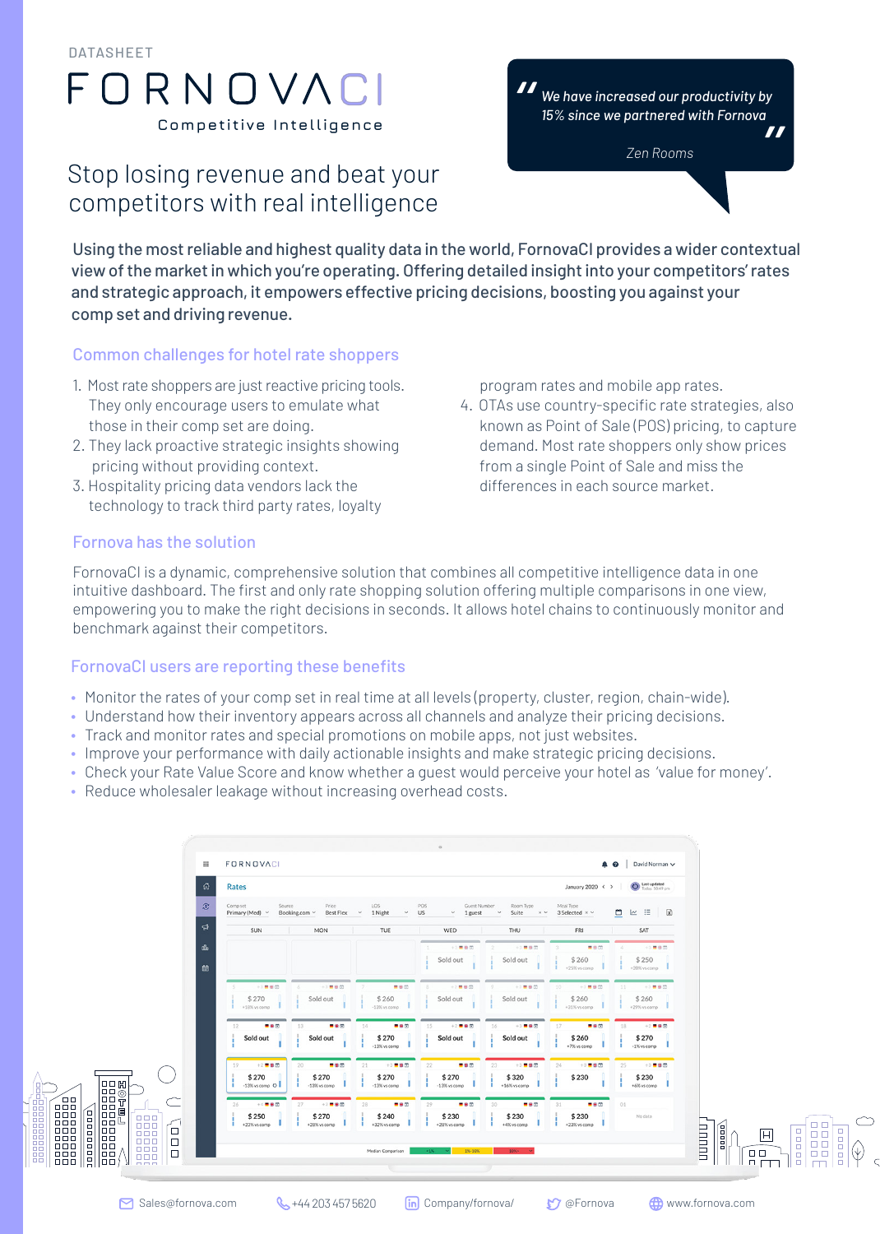DATASHEET

# FORNOVAC **Competitive Intelligence**

## Stop losing revenue and beat your competitors with real intelligence



Using the most reliable and highest quality data in the world, FornovaCI provides a wider contextual view of the market in which you're operating. Offering detailed insight into your competitors' rates and strategic approach, it empowers effective pricing decisions, boosting you against your comp set and driving revenue.

#### Common challenges for hotel rate shoppers

- 1. Most rate shoppers are just reactive pricing tools. They only encourage users to emulate what those in their comp set are doing.
- 2. They lack proactive strategic insights showing pricing without providing context.
- 3. Hospitality pricing data vendors lack the technology to track third party rates, loyalty

program rates and mobile app rates.

4. OTAs use country-specific rate strategies, also known as Point of Sale (POS) pricing, to capture demand. Most rate shoppers only show prices from a single Point of Sale and miss the differences in each source market.

#### Fornova has the solution

FornovaCI is a dynamic, comprehensive solution that combines all competitive intelligence data in one intuitive dashboard. The first and only rate shopping solution offering multiple comparisons in one view, empowering you to make the right decisions in seconds. It allows hotel chains to continuously monitor and benchmark against their competitors.

#### FornovaCI users are reporting these benefits

- Monitor the rates of your comp set in real time at all levels (property, cluster, region, chain-wide).
- Understand how their inventory appears across all channels and analyze their pricing decisions.
- Track and monitor rates and special promotions on mobile apps, not just websites.
- Improve your performance with daily actionable insights and make strategic pricing decisions.
- Check your Rate Value Score and know whether a guest would perceive your hotel as 'value for money'.
- Reduce wholesaler leakage without increasing overhead costs.

| 倚<br>Rates                                                 |                                                                     |                                                       |                                                       |                                                                | January 2020 < >                                    | Last updated<br>Today, 10:49 pm                        |                        |
|------------------------------------------------------------|---------------------------------------------------------------------|-------------------------------------------------------|-------------------------------------------------------|----------------------------------------------------------------|-----------------------------------------------------|--------------------------------------------------------|------------------------|
| $\mathcal{E}$<br>Comp set<br>Primary (Med) v<br>୍କ<br>SUN  | Source<br>Price<br>Best Flex<br>Booking.com v<br><b>MON</b><br>- 12 | LOS<br>1 Night<br>$\check{~}$<br>$\mathcal{A}$<br>TUE | POS<br>Guest Number<br>US<br>$\vee$<br>1 guest<br>WED | Room Type<br>Suite<br>$\times$ $\times$<br>$\checkmark$<br>THU | Meal Type<br>3 Selected $\times$ $\times$<br>FRI    | 白区三<br>図<br>SAT                                        |                        |
| űь<br>茴                                                    |                                                                     |                                                       | $+3$ <b>m</b> $\otimes$ (2)<br>Sold out               | $+3$ <b>B</b> $5$<br>Sold out                                  | ■田田<br>\$260<br>+25% vs comp                        | +3 ■ 田 四<br>\$250<br>$+20\%$ vs comp                   |                        |
| +3 ■ 单 回<br>\$270<br>+18% ys comp                          | $+3  1  0  0 0$<br>Sold out                                         | ■田田<br>\$260<br>$-13\%$ vs comp                       | $+2$ <b>= 9 0</b><br>Sold out                         | $+3$ . $\otimes$ $\otimes$<br>Sold out                         | $+3$ <b>m</b> $90$<br>10.7<br>\$260<br>+31% vs como | $+3$ . 9 (2)<br>$-11$<br>\$260<br>$+29%$ vs comp       |                        |
| $-80$<br>$12 -$<br>Sold out                                | 13<br>一串位<br>Sold out                                               | 14<br>■●田<br>\$270<br>$-13\%$ vs comp                 | 15<br>$+2$ <b>= 8 0</b><br>Sold out                   | 16<br>$+3$ = 80<br>Sold out                                    | $17 -$<br>一串回<br>\$260<br>+7% vs comp               | $+2$ . $\blacksquare$<br>18<br>\$270<br>$-1\%$ vs comp |                        |
| 19<br>$+2$ = $\pm$ (5)<br>\$270<br>$-13\%$ vs comp $\circ$ | 20<br>$-80$<br>\$270<br>$-13\%$ vs comp                             | 21<br>$+3  19  60  00$<br>\$270<br>$-13\%$ vs comp    | 22<br>$-80$<br>\$270<br>$-13%$ vs comp                | 23<br>$+3$ = $\pm$ (f)<br>\$320<br>+16% vs comp                | $+3  1  0  0 0 $<br>24<br>\$230                     | 25<br>$+3$ <b>= 8 (0)</b><br>\$230<br>+6% vs comp      |                        |
| $+4$ <b>= 0</b><br>26<br>\$250<br>$+23\%$ ys comp          | $+2$ = $\oplus$ $\Box$<br>27<br>\$270<br>+28% vs comp               | 28<br>- 80<br>\$240<br>+32% vs comp                   | - 80<br>29<br>\$230<br>+28% vs comp                   | 30<br>$-80$<br>\$230<br>+4% vs comp                            | - 80<br>31<br>\$230<br>$+23\%$ vs como              | 01<br>No data                                          | <b>TITLET</b><br>anna) |

**ODDDD**